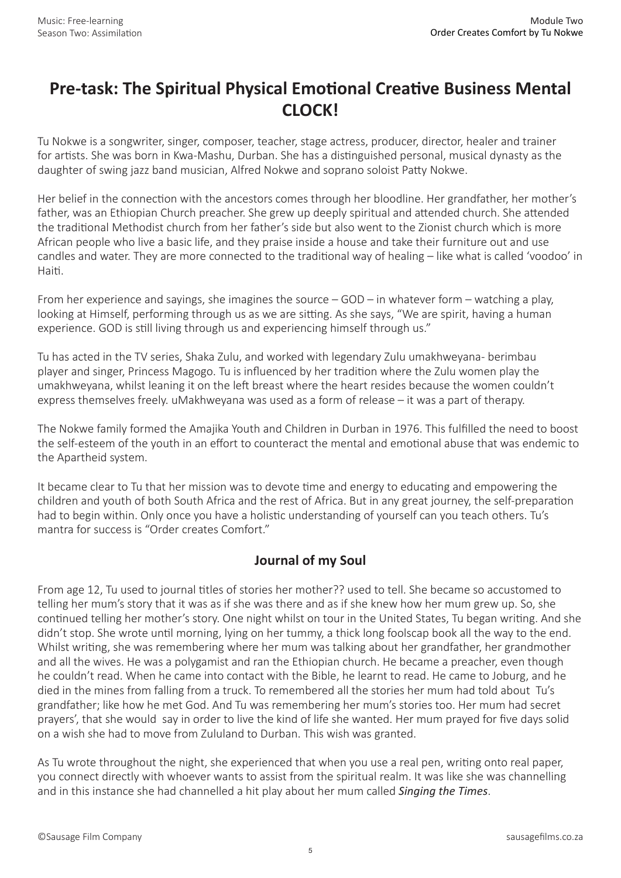## **Pre-task: The Spiritual Physical Emotional Creative Business Mental CLOCK!**

Tu Nokwe is a songwriter, singer, composer, teacher, stage actress, producer, director, healer and trainer for artists. She was born in Kwa-Mashu, Durban. She has a distinguished personal, musical dynasty as the daughter of swing jazz band musician, Alfred Nokwe and soprano soloist Patty Nokwe.

Her belief in the connection with the ancestors comes through her bloodline. Her grandfather, her mother's father, was an Ethiopian Church preacher. She grew up deeply spiritual and attended church. She attended the traditional Methodist church from her father's side but also went to the Zionist church which is more African people who live a basic life, and they praise inside a house and take their furniture out and use candles and water. They are more connected to the traditional way of healing – like what is called 'voodoo' in Haiti.

From her experience and sayings, she imagines the source – GOD – in whatever form – watching a play, looking at Himself, performing through us as we are sitting. As she says, "We are spirit, having a human experience. GOD is still living through us and experiencing himself through us."

Tu has acted in the TV series, Shaka Zulu, and worked with legendary Zulu umakhweyana- berimbau player and singer, Princess Magogo. Tu is influenced by her tradition where the Zulu women play the umakhweyana, whilst leaning it on the left breast where the heart resides because the women couldn't express themselves freely. uMakhweyana was used as a form of release – it was a part of therapy.

The Nokwe family formed the Amajika Youth and Children in Durban in 1976. This fulfilled the need to boost the self-esteem of the youth in an effort to counteract the mental and emotional abuse that was endemic to the Apartheid system.

It became clear to Tu that her mission was to devote time and energy to educating and empowering the children and youth of both South Africa and the rest of Africa. But in any great journey, the self-preparation had to begin within. Only once you have a holistic understanding of yourself can you teach others. Tu's mantra for success is "Order creates Comfort."

## **Journal of my Soul**

From age 12, Tu used to journal titles of stories her mother?? used to tell. She became so accustomed to telling her mum's story that it was as if she was there and as if she knew how her mum grew up. So, she continued telling her mother's story. One night whilst on tour in the United States, Tu began writing. And she didn't stop. She wrote until morning, lying on her tummy, a thick long foolscap book all the way to the end. Whilst writing, she was remembering where her mum was talking about her grandfather, her grandmother and all the wives. He was a polygamist and ran the Ethiopian church. He became a preacher, even though he couldn't read. When he came into contact with the Bible, he learnt to read. He came to Joburg, and he died in the mines from falling from a truck. To remembered all the stories her mum had told about Tu's grandfather; like how he met God. And Tu was remembering her mum's stories too. Her mum had secret prayers', that she would say in order to live the kind of life she wanted. Her mum prayed for five days solid on a wish she had to move from Zululand to Durban. This wish was granted.

As Tu wrote throughout the night, she experienced that when you use a real pen, writing onto real paper, you connect directly with whoever wants to assist from the spiritual realm. It was like she was channelling and in this instance she had channelled a hit play about her mum called *Singing the Times*.